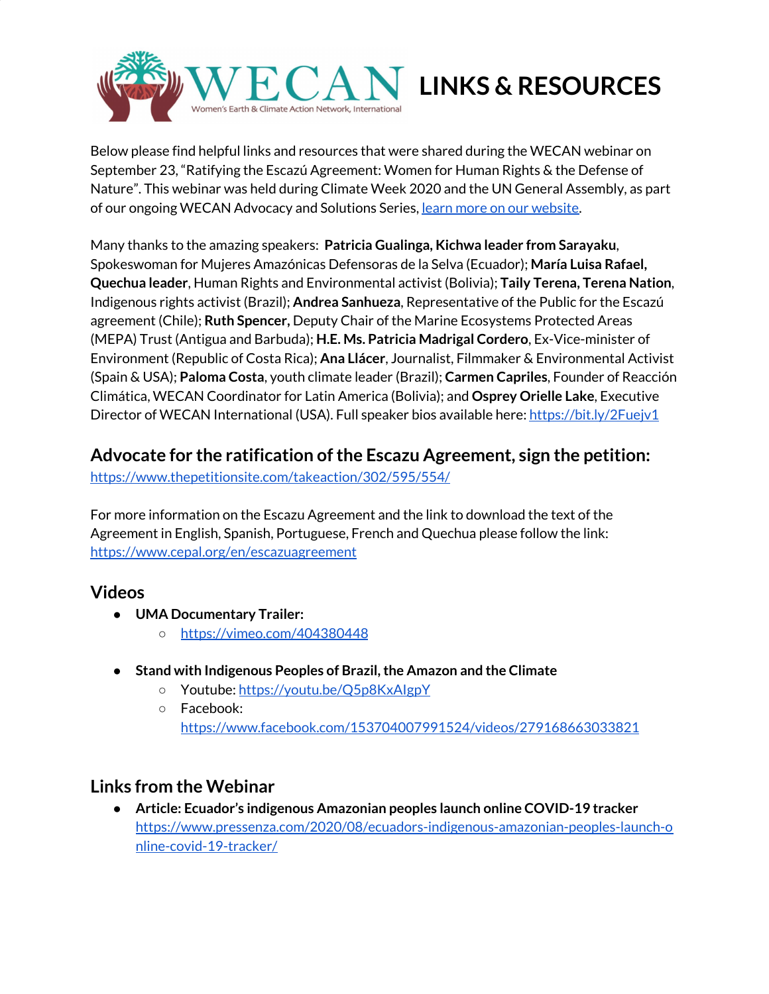

Below please find helpful links and resources that were shared during the WECAN webinar on September 23, "Ratifying the Escazú Agreement: Women for Human Rights & the Defense of Nature". This webinar was held during Climate Week 2020 and the UN General Assembly, as part of our ongoing WECAN Advocacy and Solutions Series, learn more on our [website](https://www.wecaninternational.org/).

Many thanks to the amazing speakers: **Patricia Gualinga, Kichwa leader from Sarayaku**, Spokeswoman for Mujeres Amazónicas Defensoras de la Selva (Ecuador); **María Luisa Rafael, Quechua leader**, Human Rights and Environmental activist (Bolivia); **Taily Terena, Terena Nation**, Indigenous rights activist (Brazil); **Andrea Sanhueza**, Representative of the Public for the Escazú agreement (Chile); **Ruth Spencer,** Deputy Chair of the Marine Ecosystems Protected Areas (MEPA) Trust (Antigua and Barbuda); **H.E. Ms. Patricia Madrigal Cordero**, Ex-Vice-minister of Environment (Republic of Costa Rica); **Ana Llácer**, Journalist, Filmmaker & Environmental Activist (Spain & USA); **Paloma Costa**, youth climate leader (Brazil); **Carmen Capriles**, Founder of Reacción Climática, WECAN Coordinator for Latin America (Bolivia); and **Osprey Orielle Lake**, Executive Director of WECAN International (USA). Full speaker bios available here: <https://bit.ly/2Fuejv1>

## **Advocate for the ratification ofthe Escazu Agreement, sign the petition:**

<https://www.thepetitionsite.com/takeaction/302/595/554/>

For more information on the Escazu Agreement and the link to download the text of the Agreement in English, Spanish, Portuguese, French and Quechua please follow the link: <https://www.cepal.org/en/escazuagreement>

## **Videos**

- **● UMA Documentary Trailer:**
	- **○** <https://vimeo.com/404380448>
- **● Stand with Indigenous Peoples of Brazil,the Amazon and the Climate**
	- Youtube: <https://youtu.be/Q5p8KxAIgpY>
	- Facebook: <https://www.facebook.com/153704007991524/videos/279168663033821>

## **Links from the Webinar**

● **Article: Ecuador's indigenous Amazonian peoples launch online COVID-19 tracker** [https://www.pressenza.com/2020/08/ecuadors-indigenous-amazonian-peoples-launch-o](https://www.pressenza.com/2020/08/ecuadors-indigenous-amazonian-peoples-launch-online-covid-19-tracker/) [nline-covid-19-tracker/](https://www.pressenza.com/2020/08/ecuadors-indigenous-amazonian-peoples-launch-online-covid-19-tracker/)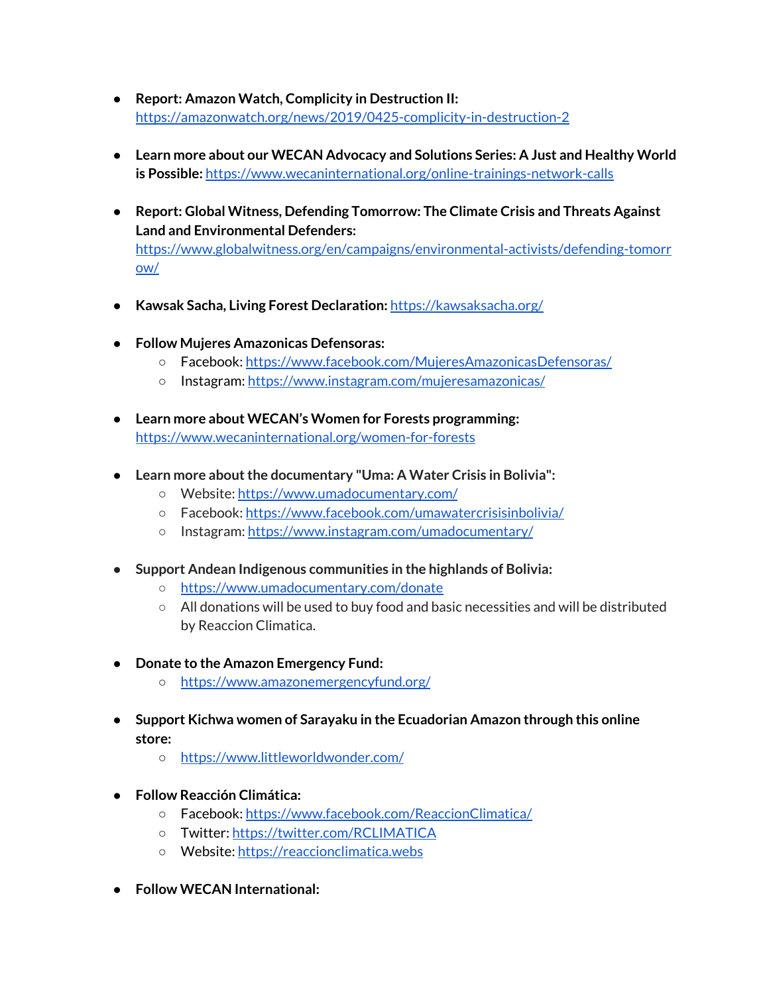- **Report: Amazon Watch, Complicity in Destruction II:** <https://amazonwatch.org/news/2019/0425-complicity-in-destruction-2>
- **Learn more about our WECAN Advocacy and Solutions Series: A Just and Healthy World is Possible:** <https://www.wecaninternational.org/online-trainings-network-calls>
- **Report: Global Witness, Defending Tomorrow: The Climate Crisis and Threats Against Land and Environmental Defenders:** [https://www.globalwitness.org/en/campaigns/environmental-activists/defending-tomorr](https://www.globalwitness.org/en/campaigns/environmental-activists/defending-tomorrow/) [ow/](https://www.globalwitness.org/en/campaigns/environmental-activists/defending-tomorrow/)
- **Kawsak Sacha, Living Forest Declaration:** <https://kawsaksacha.org/>
- **● Follow Mujeres Amazonicas Defensoras:**
	- Facebook: <https://www.facebook.com/MujeresAmazonicasDefensoras/>
	- Instagram: <https://www.instagram.com/mujeresamazonicas/>
- **Learn more about WECAN's Women for Forests programming:** <https://www.wecaninternational.org/women-for-forests>
- **● Learn more aboutthe documentary "Uma: A Water Crisis in Bolivia":**
	- Website: <https://www.umadocumentary.com/>
	- Facebook: <https://www.facebook.com/umawatercrisisinbolivia/>
	- Instagram: <https://www.instagram.com/umadocumentary/>
- **● Support Andean Indigenous communities in the highlands of Bolivia:**
	- <https://www.umadocumentary.com/donate>
	- All donations will be used to buy food and basic necessities and will be distributed by Reaccion Climatica.
- **Donate to the Amazon Emergency Fund:**
	- <https://www.amazonemergencyfund.org/>
- **Support Kichwa women of Sarayaku in the Ecuadorian Amazon through this online store:**
	- <https://www.littleworldwonder.com/>
- **● Follow Reacción Climática:**
	- Facebook: <https://www.facebook.com/ReaccionClimatica/>
	- Twitter: <https://twitter.com/RCLIMATICA>
	- Website: [https://reaccionclimatica.webs](https://reaccionclimatica.webs/)
- **● Follow WECAN International:**